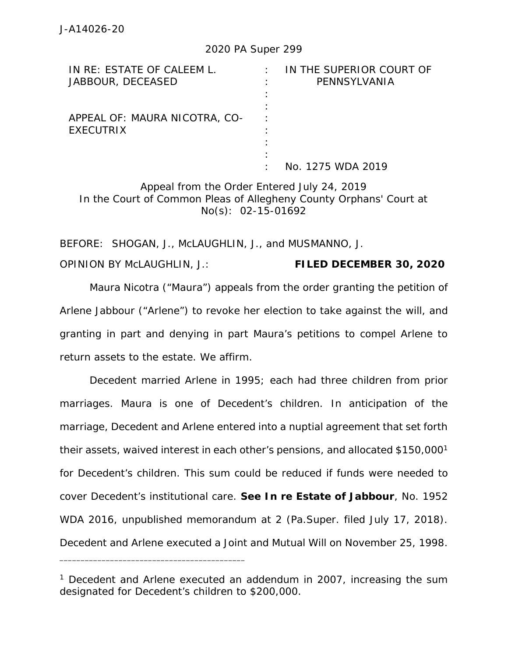## 2020 PA Super 299

| IN RE: ESTATE OF CALEEM L.    | IN THE SUPERIOR COURT OF |
|-------------------------------|--------------------------|
| JABBOUR, DECEASED             | PENNSYLVANIA             |
|                               |                          |
|                               |                          |
| APPEAL OF: MAURA NICOTRA, CO- |                          |
| EXECUTRIX                     |                          |
|                               |                          |
|                               |                          |
|                               | No. 1275 WDA 2019        |

Appeal from the Order Entered July 24, 2019 In the Court of Common Pleas of Allegheny County Orphans' Court at No(s): 02-15-01692

BEFORE: SHOGAN, J., McLAUGHLIN, J., and MUSMANNO, J.

OPINION BY McLAUGHLIN, J.: **FILED DECEMBER 30, 2020**

Maura Nicotra ("Maura") appeals from the order granting the petition of Arlene Jabbour ("Arlene") to revoke her election to take against the will, and granting in part and denying in part Maura's petitions to compel Arlene to return assets to the estate. We affirm.

Decedent married Arlene in 1995; each had three children from prior marriages. Maura is one of Decedent's children. In anticipation of the marriage, Decedent and Arlene entered into a nuptial agreement that set forth their assets, waived interest in each other's pensions, and allocated \$150,000<sup>1</sup> for Decedent's children. This sum could be reduced if funds were needed to cover Decedent's institutional care. *See In re Estate of Jabbour*, No. 1952 WDA 2016, unpublished memorandum at 2 (Pa.Super. filed July 17, 2018). Decedent and Arlene executed a Joint and Mutual Will on November 25, 1998.

\_\_\_\_\_\_\_\_\_\_\_\_\_\_\_\_\_\_\_\_\_\_\_\_\_\_\_\_\_\_\_\_\_\_\_\_\_\_\_\_\_\_\_\_

<sup>&</sup>lt;sup>1</sup> Decedent and Arlene executed an addendum in 2007, increasing the sum designated for Decedent's children to \$200,000.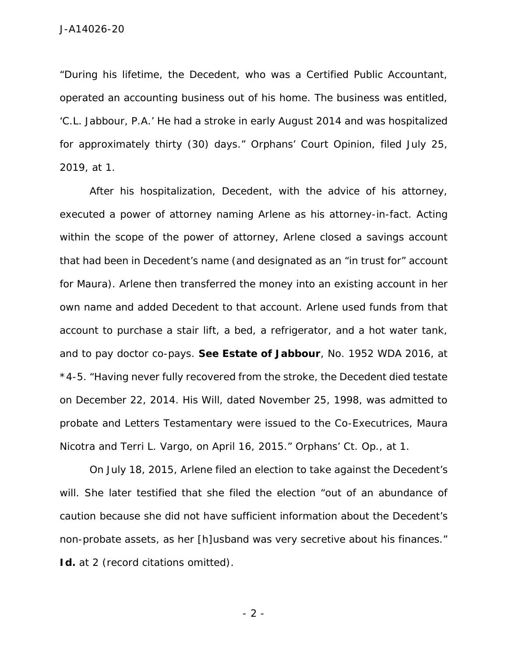"During his lifetime, the Decedent, who was a Certified Public Accountant, operated an accounting business out of his home. The business was entitled, 'C.L. Jabbour, P.A.' He had a stroke in early August 2014 and was hospitalized for approximately thirty (30) days." Orphans' Court Opinion, filed July 25, 2019, at 1.

After his hospitalization, Decedent, with the advice of his attorney, executed a power of attorney naming Arlene as his attorney-in-fact. Acting within the scope of the power of attorney, Arlene closed a savings account that had been in Decedent's name (and designated as an "in trust for" account for Maura). Arlene then transferred the money into an existing account in her own name and added Decedent to that account. Arlene used funds from that account to purchase a stair lift, a bed, a refrigerator, and a hot water tank, and to pay doctor co-pays. *See Estate of Jabbour*, No. 1952 WDA 2016, at \*4-5. "Having never fully recovered from the stroke, the Decedent died testate on December 22, 2014. His Will, dated November 25, 1998, was admitted to probate and Letters Testamentary were issued to the Co-Executrices, Maura Nicotra and Terri L. Vargo, on April 16, 2015." Orphans' Ct. Op., at 1.

On July 18, 2015, Arlene filed an election to take against the Decedent's will. She later testified that she filed the election "out of an abundance of caution because she did not have sufficient information about the Decedent's non-probate assets, as her [h]usband was very secretive about his finances." *Id.* at 2 (record citations omitted).

- 2 -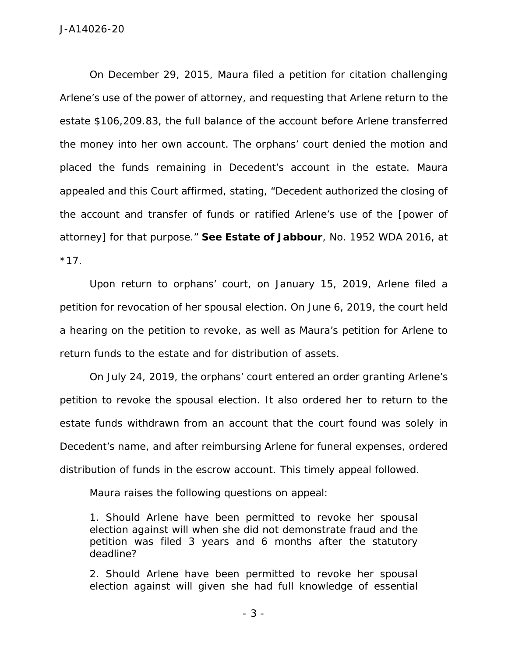On December 29, 2015, Maura filed a petition for citation challenging Arlene's use of the power of attorney, and requesting that Arlene return to the estate \$106,209.83, the full balance of the account before Arlene transferred the money into her own account. The orphans' court denied the motion and placed the funds remaining in Decedent's account in the estate. Maura appealed and this Court affirmed, stating, "Decedent authorized the closing of the account and transfer of funds or ratified Arlene's use of the [power of attorney] for that purpose." *See Estate of Jabbour*, No. 1952 WDA 2016, at  $*17.$ 

Upon return to orphans' court, on January 15, 2019, Arlene filed a petition for revocation of her spousal election. On June 6, 2019, the court held a hearing on the petition to revoke, as well as Maura's petition for Arlene to return funds to the estate and for distribution of assets.

On July 24, 2019, the orphans' court entered an order granting Arlene's petition to revoke the spousal election. It also ordered her to return to the estate funds withdrawn from an account that the court found was solely in Decedent's name, and after reimbursing Arlene for funeral expenses, ordered distribution of funds in the escrow account. This timely appeal followed.

Maura raises the following questions on appeal:

1. Should Arlene have been permitted to revoke her spousal election against will when she did not demonstrate fraud and the petition was filed 3 years and 6 months after the statutory deadline?

2. Should Arlene have been permitted to revoke her spousal election against will given she had full knowledge of essential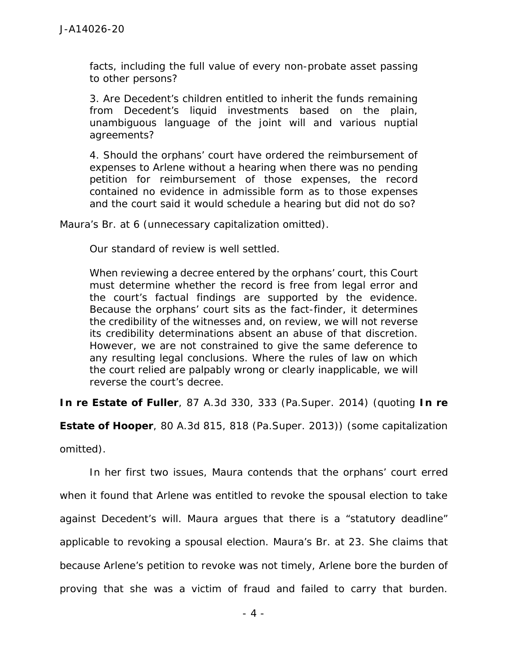facts, including the full value of every non-probate asset passing to other persons?

3. Are Decedent's children entitled to inherit the funds remaining from Decedent's liquid investments based on the plain, unambiguous language of the joint will and various nuptial agreements?

4. Should the orphans' court have ordered the reimbursement of expenses to Arlene without a hearing when there was no pending petition for reimbursement of those expenses, the record contained no evidence in admissible form as to those expenses and the court said it would schedule a hearing but did not do so?

Maura's Br. at 6 (unnecessary capitalization omitted).

Our standard of review is well settled.

When reviewing a decree entered by the orphans' court, this Court must determine whether the record is free from legal error and the court's factual findings are supported by the evidence. Because the orphans' court sits as the fact-finder, it determines the credibility of the witnesses and, on review, we will not reverse its credibility determinations absent an abuse of that discretion. However, we are not constrained to give the same deference to any resulting legal conclusions. Where the rules of law on which the court relied are palpably wrong or clearly inapplicable, we will reverse the court's decree.

*In re Estate of Fuller*, 87 A.3d 330, 333 (Pa.Super. 2014) (quoting *In re*

*Estate of Hooper*, 80 A.3d 815, 818 (Pa.Super. 2013)) (some capitalization

omitted).

In her first two issues, Maura contends that the orphans' court erred when it found that Arlene was entitled to revoke the spousal election to take against Decedent's will. Maura argues that there is a "statutory deadline" applicable to revoking a spousal election. Maura's Br. at 23. She claims that because Arlene's petition to revoke was not timely, Arlene bore the burden of proving that she was a victim of fraud and failed to carry that burden.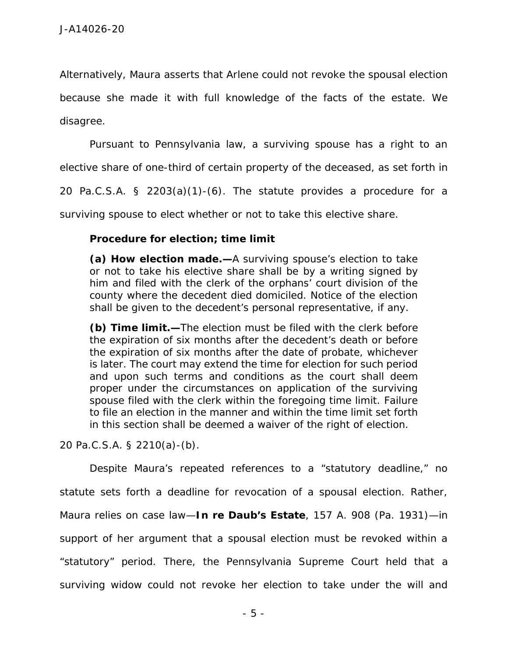Alternatively, Maura asserts that Arlene could not revoke the spousal election because she made it with full knowledge of the facts of the estate. We disagree.

Pursuant to Pennsylvania law, a surviving spouse has a right to an

elective share of one-third of certain property of the deceased, as set forth in

20 Pa.C.S.A. § 2203(a)(1)-(6). The statute provides a procedure for a

surviving spouse to elect whether or not to take this elective share.

**Procedure for election; time limit**

**(a) How election made.—**A surviving spouse's election to take or not to take his elective share shall be by a writing signed by him and filed with the clerk of the orphans' court division of the county where the decedent died domiciled. Notice of the election shall be given to the decedent's personal representative, if any.

**(b) Time limit.—**The election must be filed with the clerk before the expiration of six months after the decedent's death or before the expiration of six months after the date of probate, whichever is later. The court may extend the time for election for such period and upon such terms and conditions as the court shall deem proper under the circumstances on application of the surviving spouse filed with the clerk within the foregoing time limit. Failure to file an election in the manner and within the time limit set forth in this section shall be deemed a waiver of the right of election.

20 Pa.C.S.A. § 2210(a)-(b).

Despite Maura's repeated references to a "statutory deadline," no statute sets forth a deadline for revocation of a spousal election. Rather, Maura relies on case law—*In re Daub's Estate*, 157 A. 908 (Pa. 1931)—in support of her argument that a spousal election must be revoked within a "statutory" period. There, the Pennsylvania Supreme Court held that a surviving widow could not revoke her election to take under the will and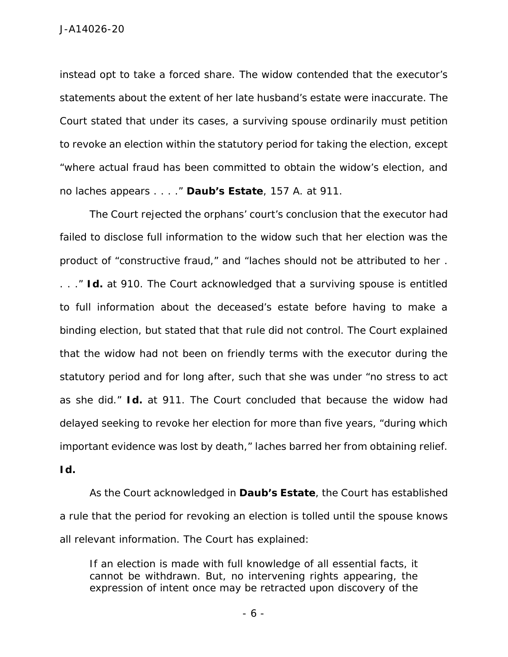instead opt to take a forced share. The widow contended that the executor's statements about the extent of her late husband's estate were inaccurate. The Court stated that under its cases, a surviving spouse ordinarily must petition to revoke an election within the statutory period for taking the election, except "where actual fraud has been committed to obtain the widow's election, and no laches appears . . . ." *Daub's Estate*, 157 A. at 911.

The Court rejected the orphans' court's conclusion that the executor had failed to disclose full information to the widow such that her election was the product of "constructive fraud," and "laches should not be attributed to her . . . ." *Id.* at 910. The Court acknowledged that a surviving spouse is entitled to full information about the deceased's estate before having to make a binding election, but stated that that rule did not control. The Court explained that the widow had not been on friendly terms with the executor during the statutory period and for long after, such that she was under "no stress to act as she did." *Id.* at 911. The Court concluded that because the widow had delayed seeking to revoke her election for more than five years, "during which important evidence was lost by death," laches barred her from obtaining relief. *Id.*

As the Court acknowledged in *Daub's Estate*, the Court has established a rule that the period for revoking an election is tolled until the spouse knows all relevant information. The Court has explained:

If an election is made with full knowledge of all essential facts, it cannot be withdrawn. But, no intervening rights appearing, the expression of intent once may be retracted upon discovery of the

- 6 -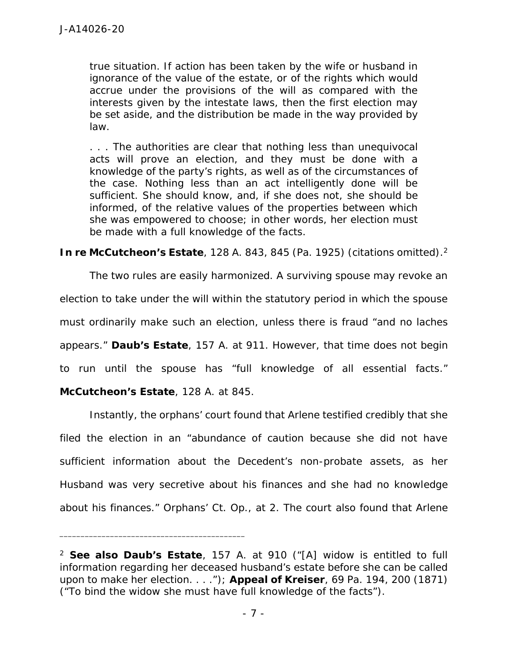true situation. If action has been taken by the wife or husband in ignorance of the value of the estate, or of the rights which would accrue under the provisions of the will as compared with the interests given by the intestate laws, then the first election may be set aside, and the distribution be made in the way provided by law.

. . . The authorities are clear that nothing less than unequivocal acts will prove an election, and they must be done with a knowledge of the party's rights, as well as of the circumstances of the case. Nothing less than an act intelligently done will be sufficient. She should know, and, if she does not, she should be informed, of the relative values of the properties between which she was empowered to choose; in other words, her election must be made with a full knowledge of the facts.

*In re McCutcheon's Estate*, 128 A. 843, 845 (Pa. 1925) (citations omitted).<sup>2</sup>

The two rules are easily harmonized. A surviving spouse may revoke an election to take under the will within the statutory period in which the spouse must ordinarily make such an election, unless there is fraud "and no laches appears." *Daub's Estate*, 157 A. at 911. However, that time does not begin to run until the spouse has "full knowledge of all essential facts." *McCutcheon's Estate*, 128 A. at 845.

Instantly, the orphans' court found that Arlene testified credibly that she filed the election in an "abundance of caution because she did not have sufficient information about the Decedent's non-probate assets, as her Husband was very secretive about his finances and she had no knowledge about his finances." Orphans' Ct. Op., at 2. The court also found that Arlene

\_\_\_\_\_\_\_\_\_\_\_\_\_\_\_\_\_\_\_\_\_\_\_\_\_\_\_\_\_\_\_\_\_\_\_\_\_\_\_\_\_\_\_\_

<sup>2</sup> *See also Daub's Estate*, 157 A. at 910 ("[A] widow is entitled to full information regarding her deceased husband's estate before she can be called upon to make her election. . . ."); *Appeal of Kreiser*, 69 Pa. 194, 200 (1871) ("To bind the widow she must have full knowledge of the facts").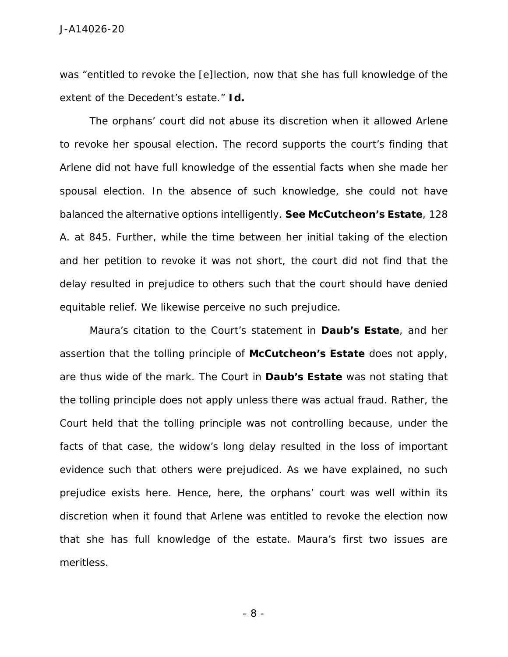was "entitled to revoke the [e]lection, now that she has full knowledge of the extent of the Decedent's estate." *Id.*

The orphans' court did not abuse its discretion when it allowed Arlene to revoke her spousal election. The record supports the court's finding that Arlene did not have full knowledge of the essential facts when she made her spousal election. In the absence of such knowledge, she could not have balanced the alternative options intelligently. *See McCutcheon's Estate*, 128 A. at 845. Further, while the time between her initial taking of the election and her petition to revoke it was not short, the court did not find that the delay resulted in prejudice to others such that the court should have denied equitable relief. We likewise perceive no such prejudice.

Maura's citation to the Court's statement in *Daub's Estate*, and her assertion that the tolling principle of *McCutcheon's Estate* does not apply, are thus wide of the mark. The Court in *Daub's Estate* was not stating that the tolling principle does not apply unless there was actual fraud. Rather, the Court held that the tolling principle was not controlling because, under the facts of that case, the widow's long delay resulted in the loss of important evidence such that others were prejudiced. As we have explained, no such prejudice exists here. Hence, here, the orphans' court was well within its discretion when it found that Arlene was entitled to revoke the election now that she has full knowledge of the estate. Maura's first two issues are meritless.

- 8 -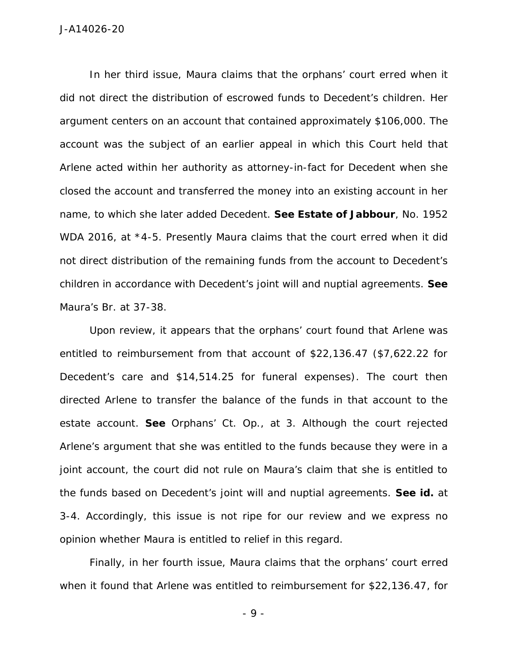In her third issue, Maura claims that the orphans' court erred when it did not direct the distribution of escrowed funds to Decedent's children. Her argument centers on an account that contained approximately \$106,000. The account was the subject of an earlier appeal in which this Court held that Arlene acted within her authority as attorney-in-fact for Decedent when she closed the account and transferred the money into an existing account in her name, to which she later added Decedent. *See Estate of Jabbour*, No. 1952 WDA 2016, at \*4-5. Presently Maura claims that the court erred when it did not direct distribution of the remaining funds from the account to Decedent's children in accordance with Decedent's joint will and nuptial agreements. *See* Maura's Br. at 37-38.

Upon review, it appears that the orphans' court found that Arlene was entitled to reimbursement from that account of \$22,136.47 (\$7,622.22 for Decedent's care and \$14,514.25 for funeral expenses). The court then directed Arlene to transfer the balance of the funds in that account to the estate account. *See* Orphans' Ct. Op., at 3. Although the court rejected Arlene's argument that she was entitled to the funds because they were in a joint account, the court did not rule on Maura's claim that she is entitled to the funds based on Decedent's joint will and nuptial agreements. *See id.* at 3-4. Accordingly, this issue is not ripe for our review and we express no opinion whether Maura is entitled to relief in this regard.

Finally, in her fourth issue, Maura claims that the orphans' court erred when it found that Arlene was entitled to reimbursement for \$22,136.47, for

- 9 -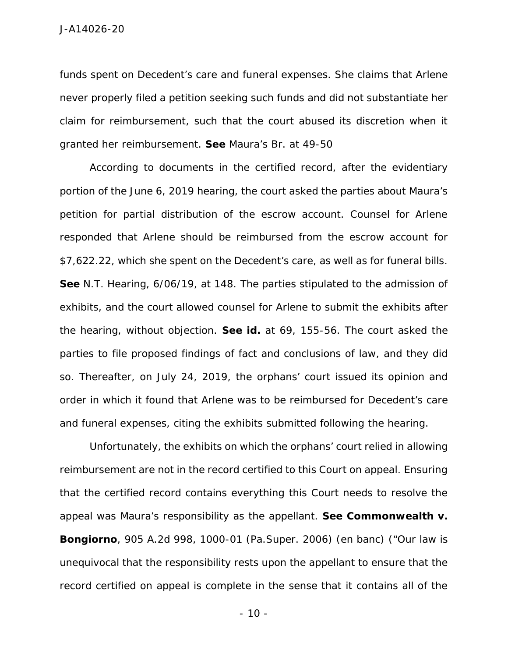funds spent on Decedent's care and funeral expenses. She claims that Arlene never properly filed a petition seeking such funds and did not substantiate her claim for reimbursement, such that the court abused its discretion when it granted her reimbursement. *See* Maura's Br. at 49-50

According to documents in the certified record, after the evidentiary portion of the June 6, 2019 hearing, the court asked the parties about Maura's petition for partial distribution of the escrow account. Counsel for Arlene responded that Arlene should be reimbursed from the escrow account for \$7,622.22, which she spent on the Decedent's care, as well as for funeral bills. *See* N.T. Hearing, 6/06/19, at 148. The parties stipulated to the admission of exhibits, and the court allowed counsel for Arlene to submit the exhibits after the hearing, without objection. *See id.* at 69, 155-56. The court asked the parties to file proposed findings of fact and conclusions of law, and they did so. Thereafter, on July 24, 2019, the orphans' court issued its opinion and order in which it found that Arlene was to be reimbursed for Decedent's care and funeral expenses, citing the exhibits submitted following the hearing.

Unfortunately, the exhibits on which the orphans' court relied in allowing reimbursement are not in the record certified to this Court on appeal. Ensuring that the certified record contains everything this Court needs to resolve the appeal was Maura's responsibility as the appellant. *See Commonwealth v. Bongiorno*, 905 A.2d 998, 1000-01 (Pa.Super. 2006) (*en banc*) ("Our law is unequivocal that the responsibility rests upon the appellant to ensure that the record certified on appeal is complete in the sense that it contains all of the